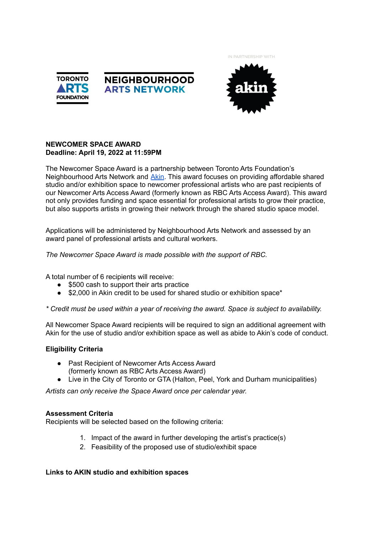IN PARTNERSHIP WITH







## **NEWCOMER SPACE AWARD Deadline: April 19, 2022 at 11:59PM**

The Newcomer Space Award is a partnership between Toronto Arts Foundation's Neighbourhood Arts Network and [Akin.](http://www.akincollective.com) This award focuses on providing affordable shared studio and/or exhibition space to newcomer professional artists who are past recipients of our Newcomer Arts Access Award (formerly known as RBC Arts Access Award). This award not only provides funding and space essential for professional artists to grow their practice, but also supports artists in growing their network through the shared studio space model.

Applications will be administered by Neighbourhood Arts Network and assessed by an award panel of professional artists and cultural workers.

*The Newcomer Space Award is made possible with the support of RBC.*

A total number of 6 recipients will receive:

- \$500 cash to support their arts practice
- \$2,000 in Akin credit to be used for shared studio or exhibition space\*

*\* Credit must be used within a year of receiving the award. Space is subject to availability.*

All Newcomer Space Award recipients will be required to sign an additional agreement with Akin for the use of studio and/or exhibition space as well as abide to Akin's code of conduct.

# **Eligibility Criteria**

- Past Recipient of Newcomer Arts Access Award (formerly known as RBC Arts Access Award)
- Live in the City of Toronto or GTA (Halton, Peel, York and Durham municipalities)

*Artists can only receive the Space Award once per calendar year.*

### **Assessment Criteria**

Recipients will be selected based on the following criteria:

- 1. Impact of the award in further developing the artist's practice(s)
- 2. Feasibility of the proposed use of studio/exhibit space

### **Links to AKIN studio and exhibition spaces**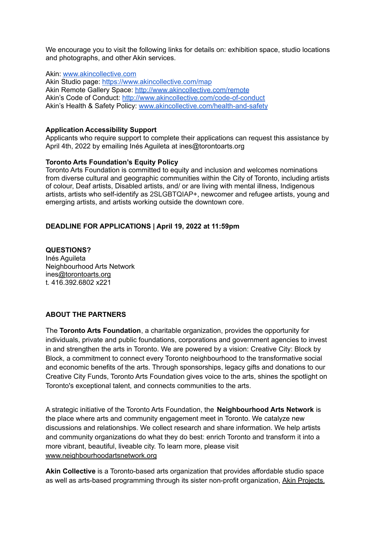We encourage you to visit the following links for details on: exhibition space, studio locations and photographs, and other Akin services.

Akin: [www.akincollective.com](http://www.akincollective.com/)

Akin Studio page: <https://www.akincollective.com/map> Akin Remote Gallery Space: <http://www.akincollective.com/remote> Akin's Code of Conduct: <http://www.akincollective.com/code-of-conduct> Akin's Health & Safety Policy: [www.akincollective.com/health-and-safety](http://www.akincollective.com/health-and-safety)

### **Application Accessibility Support**

Applicants who require support to complete their applications can request this assistance by April 4th, 2022 by emailing Inés Aguileta at ines@torontoarts.org

#### **Toronto Arts Foundation's Equity Policy**

Toronto Arts Foundation is committed to equity and inclusion and welcomes nominations from diverse cultural and geographic communities within the City of Toronto, including artists of colour, Deaf artists, Disabled artists, and/ or are living with mental illness, Indigenous artists, artists who self-identify as 2SLGBTQIAP+, newcomer and refugee artists, young and emerging artists, and artists working outside the downtown core.

### **DEADLINE FOR APPLICATIONS | April 19, 2022 at 11:59pm**

**QUESTIONS?** Inés Aguileta Neighbourhood Arts Network ine[s@torontoarts.org](mailto:angie@torontoartscouncil.org) t. 416.392.6802 x221

### **ABOUT THE PARTNERS**

The **Toronto Arts Foundation**, a charitable organization, provides the opportunity for individuals, private and public foundations, corporations and government agencies to invest in and strengthen the arts in Toronto. We are powered by a vision: Creative City: Block by Block, a commitment to connect every Toronto neighbourhood to the transformative social and economic benefits of the arts. Through sponsorships, legacy gifts and donations to our Creative City Funds, Toronto Arts Foundation gives voice to the arts, shines the spotlight on Toronto's exceptional talent, and connects communities to the arts.

A strategic initiative of the Toronto Arts Foundation, the **Neighbourhood Arts Network** is the place where arts and community engagement meet in Toronto. We catalyze new discussions and relationships. We collect research and share information. We help artists and community organizations do what they do best: enrich Toronto and transform it into a more vibrant, beautiful, liveable city. To learn more, please visit [www.neighbourhoodartsnetwork.org](http://www.neighbourhoodartsnetwork.org)

**Akin Collective** is a Toronto-based arts organization that provides affordable studio space as well as arts-based programming through its sister non-profit organization, Akin [Projects.](http://www.akinprojects.org/)